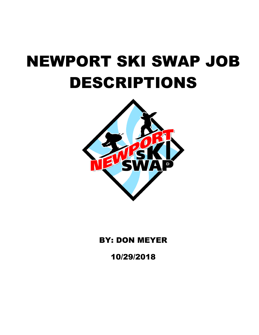

# BY: DON MEYER

10/29/2018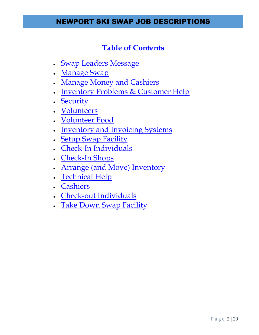### **Table of Contents**

- [Swap Leaders Message](#page-2-0)
- [Manage Swap](#page-3-0)
- . [Manage Money and Cashiers](#page-5-0)
- [Inventory Problems & Customer Help](#page-4-0)
- . [Security](#page-6-0)
- [Volunteers](#page-7-0)
- [Volunteer Food](#page-8-0)
- [Inventory and Invoicing Systems](#page-9-0)
- [Setup Swap Facility](#page-10-0)
- [Check-In Individuals](#page-11-0)
- [Check-In Shops](#page-12-0)
- [Arrange \(and Move\) Inventory](#page-13-0)
- [Technical Help](#page-15-0)
- [Cashiers](#page-16-0)
- [Check-out Individuals](#page-17-0)
- [Take Down Swap Facility](#page-18-0)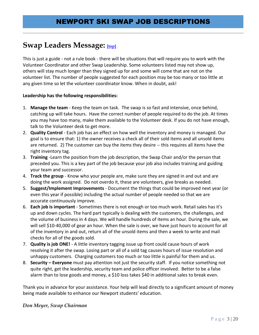### <span id="page-2-0"></span>**Swap Leaders Message: [top]**

This is just a guide - not a rule book - there will be situations that will require you to work with the Volunteer Coordinator and other Swap Leadership. Some volunteers listed may not show up, others will stay much longer than they signed up for and some will come that are not on the volunteer list. The number of people suggested for each position may be too many or too little at any given time so let the volunteer coordinator know. When in doubt, ask!

### **Leadership has the following responsibilities:**

- 1. **Manage the team** Keep the team on task. The swap is so fast and intensive, once behind, catching up will take hours. Have the correct number of people required to do the job. At times you may have too many, make them available to the Volunteer desk. If you do not have enough, talk to the Volunteer desk to get more.
- 2. **Quality Control** Each job has an effect on how well the inventory and money is managed. Our goal is to ensure that: 1) the owner receives a check all of their sold items and all unsold items are returned. 2) The customer can buy the items they desire -- this requires all items have the right inventory tag.
- 3. **Training** -Learn the position from the job description, the Swap Chair and/or the person that preceded you. This is a key part of the job because your job also includes training and guiding your team and successor.
- 4. **Track the group** Know who your people are, make sure they are signed in and out and are doing the work assigned. Do not overdo it, these are volunteers, give breaks as needed.
- 5. **Suggest/Implement Improvements** Document the things that could be improved next year (or even this year if possible) including the actual number of people needed so that we are accurate continuously improve.
- 6. **Each job is important** Sometimes there is not enough or too much work. Retail sales has it's up and down cycles. The hard part typically is dealing with the customers, the challenges, and the volume of business in 4 days. We will handle hundreds of items an hour. During the sale, we will sell \$10-40,000 of gear an hour. When the sale is over, we have just hours to account for all of the inventory in and out, return all of the unsold items and then a week to write and mail checks for all of the goods sold.
- 7. **Quality is job ONE!** A little inventory tagging issue up front could cause hours of work resolving it after the swap. Losing part or all of a sold tag causes hours of issue resolution and unhappy customers. Charging customers too much or too little is painful for them and us.
- 8. **Security – Everyone** must pay attention not just the security staff. If you notice something not quite right, get the leadership, security team and police officer involved. Better to be a false alarm than to lose goods and money, a \$10 loss takes \$40 in additional sales to break even.

Thank you in advance for your assistance. Your help will lead directly to a significant amount of money being made available to enhance our Newport students' education.

### *Don Meyer, Swap Chairman*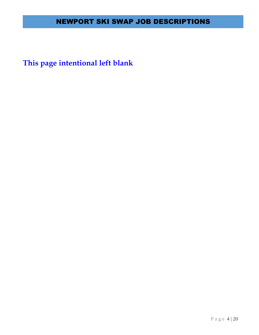<span id="page-3-0"></span>**This page intentional left blank**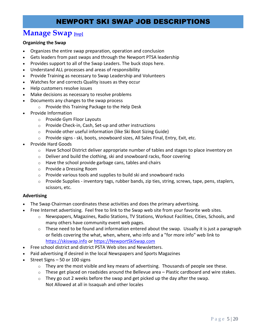### **Manage Swap [top]**

### **Organizing the Swap**

- Organizes the entire swap preparation, operation and conclusion
- Gets leaders from past swaps and through the Newport PTSA leadership
- Provides support to all of the Swap Leaders. The buck stops here.
- Understand ALL processes and areas of responsibility
- Provide Training as necessary to Swap Leadership and Volunteers
- Watches for and corrects Quality issues as they occur
- Help customers resolve issues
- Make decisions as necessary to resolve problems
- Documents any changes to the swap process
	- o Provide this Training Package to the Help Desk
- Provide Information
	- o Provide Gym Floor Layouts
	- o Provide Check-in, Cash, Set-up and other instructions
	- o Provide other useful information (like Ski Boot Sizing Guide)
	- o Provide signs ski, boots, snowboard sizes, All Sales Final, Entry, Exit, etc.
- Provide Hard Goods
	- $\circ$  Have School District deliver appropriate number of tables and stages to place inventory on
	- $\circ$  Deliver and build the clothing, ski and snowboard racks, floor covering
	- $\circ$  Have the school provide garbage cans, tables and chairs
	- o Provide a Dressing Room
	- $\circ$  Provide various tools and supplies to build ski and snowboard racks
	- o Provide Supplies inventory tags, rubber bands, zip ties, string, screws, tape, pens, staplers, scissors, etc.

#### **Advertising**

- The Swap Chairman coordinates these activities and does the primary advertising.
- Free Internet advertising. Feel free to link to the Swap web site from your favorite web sites.
	- o Newspapers, Magazines, Radio Stations, TV Stations, Workout Facilities, Cities, Schools, and many others have community event web pages.
	- $\circ$  These need to be found and information entered about the swap. Usually it is just a paragraph or fields covering the what, when, where, who info and a "for more info" web link to [https://skiswap.info](https://skiswap.info/) or [https://NewportSkiSwap.com](https://newportskiswap.com/)
- Free school district and district PSTA Web sites and Newsletters.
- Paid advertising if desired in the local Newspapers and Sports Magazines
- <span id="page-4-0"></span> Street Signs – 50 or 100 signs
	- $\circ$  They are the most visible and key means of advertising. Thousands of people see these.
	- $\circ$  These get placed on roadsides around the Bellevue area Plastic cardboard and wire stakes.
	- $\circ$  They go out 2 weeks before the swap and get picked up the day after the swap. Not Allowed at all in Issaquah and other locales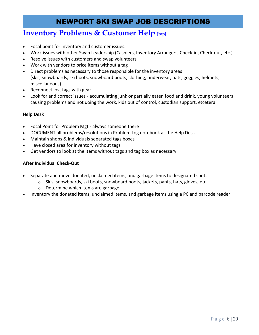### **Inventory Problems & Customer Help [top]**

- Focal point for inventory and customer issues.
- Work issues with other Swap Leadership (Cashiers, Inventory Arrangers, Check-in, Check-out, etc.)
- Resolve issues with customers and swap volunteers
- Work with vendors to price items without a tag
- Direct problems as necessary to those responsible for the inventory areas (skis, snowboards, ski boots, snowboard boots, clothing, underwear, hats, goggles, helmets, miscellaneous)
- Reconnect lost tags with gear
- Look for and correct issues accumulating junk or partially eaten food and drink, young volunteers causing problems and not doing the work, kids out of control, custodian support, etcetera.

#### **Help Desk**

- Focal Point for Problem Mgt always someone there
- DOCUMENT all problems/resolutions in Problem Log notebook at the Help Desk
- Maintain shops & individuals separated tags boxes
- Have closed area for inventory without tags
- Get vendors to look at the items without tags and tag box as necessary

#### **After Individual Check-Out**

- Separate and move donated, unclaimed items, and garbage items to designated spots
	- $\circ$  Skis, snowboards, ski boots, snowboard boots, jackets, pants, hats, gloves, etc.
	- o Determine which items are garbage
- <span id="page-5-0"></span>Inventory the donated items, unclaimed items, and garbage items using a PC and barcode reader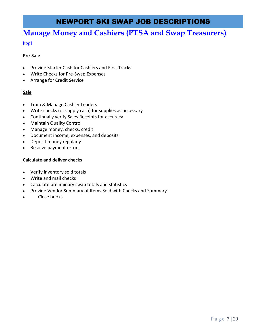### **Manage Money and Cashiers (PTSA and Swap Treasurers)**

### **[top]**

### **Pre-Sale**

- Provide Starter Cash for Cashiers and First Tracks
- Write Checks for Pre-Swap Expenses
- Arrange for Credit Service

### **Sale**

- Train & Manage Cashier Leaders
- Write checks (or supply cash) for supplies as necessary
- Continually verify Sales Receipts for accuracy
- Maintain Quality Control
- Manage money, checks, credit
- Document income, expenses, and deposits
- Deposit money regularly
- Resolve payment errors

### **Calculate and deliver checks**

- Verify inventory sold totals
- Write and mail checks
- Calculate preliminary swap totals and statistics
- <span id="page-6-0"></span>Provide Vendor Summary of Items Sold with Checks and Summary
- Close books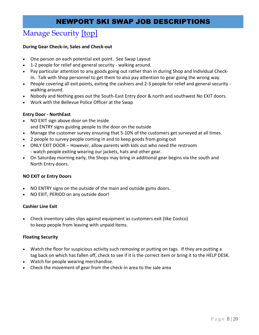# Manage Security [top]

### **During Gear Check-in, Sales and Check-out**

- One person on each potential exit point. See Swap Layout
- 1-2 people for relief and general security walking around.
- Pay particular attention to any goods going out rather than in during Shop and Individual Check-In. Talk with Shop personnel to get them to also pay attention to gear going the wrong way.
- People covering all exit points, exiting the cashiers and 2-3 people for relief and general security walking around.
- Nobody and Nothing goes out the South-East Entry door & north and southwest No EXIT doors.
- Work with the Bellevue Police Officer at the Swap

### **Entry Door - NorthEast**

- NO EXIT sign above door on the inside and ENTRY signs guiding people to the door on the outside
- Manage the customer survey ensuring that 5-10% of the customers get surveyed at all times.
- 2 people to survey people coming in and to keep goods from going out
- ONLY EXIT DOOR However, allow parents with kids out who need the restroom - watch people exiting wearing our jackets, hats and other gear.
- On Saturday morning early, the Shops may bring in additional gear begins via the south and North Entry doors.

### **NO EXIT or Entry Doors**

- NO ENTRY signs on the outside of the main and outside gyms doors.
- NO EXIT, PERIOD on any outside door!

### **Cashier Line Exit**

 Check inventory sales slips against equipment as customers exit (like Costco) to keep people from leaving with unpaid items.

### **Floating Security**

- Watch the floor for suspicious activity such removing or putting on tags. If they are putting a tag back on which has fallen off, check to see if it is the correct item or bring it to the HELP DESK.
- Watch for people wearing merchandise.
- <span id="page-7-0"></span>Check the movement of gear from the check-in area to the sale area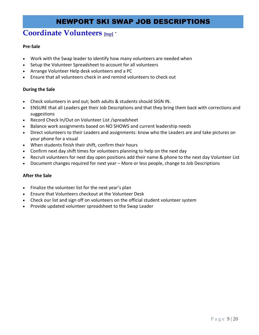### **Coordinate Volunteers [top]·**

### **Pre-Sale**

- Work with the Swap leader to identify how many volunteers are needed when
- Setup the Volunteer Spreadsheet to account for all volunteers
- Arrange Volunteer Help desk volunteers and a PC
- Ensure that all volunteers check in and remind volunteers to check out

### **During the Sale**

- Check volunteers in and out; both adults & students should SIGN IN.
- ENSURE that all Leaders get their Job Descriptions and that they bring them back with corrections and suggestions
- Record Check In/Out on Volunteer List /spreadsheet
- Balance work assignments based on NO SHOWS and current leadership needs
- Direct volunteers to their Leaders and assignments: know who the Leaders are and take pictures on your phone for a visual
- When students finish their shift, confirm their hours
- Confirm next day shift times for volunteers planning to help on the next day
- Recruit volunteers for next day open positions add their name & phone to the next day Volunteer List
- Document changes required for next year More or less people, change to Job Descriptions

### **After the Sale**

- Finalize the volunteer list for the next year's plan
- Ensure that Volunteers checkout at the Volunteer Desk
- Check our list and sign off on volunteers on the official student volunteer system
- <span id="page-8-0"></span>Provide updated volunteer spreadsheet to the Swap Leader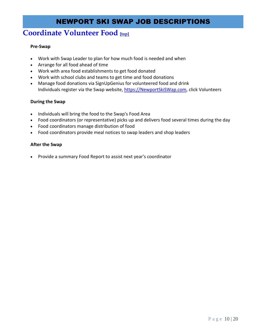# **Coordinate Volunteer Food [top]**

### **Pre-Swap**

- Work with Swap Leader to plan for how much food is needed and when
- Arrange for all food ahead of time
- Work with area food establishments to get food donated
- Work with school clubs and teams to get time and food donations
- Manage food donations via SignUpGenius for volunteered food and drink Individuals register via the Swap website[, https://NewportSkiSWap.com,](https://newportskiswap.com/) click Volunteers

### **During the Swap**

- Individuals will bring the food to the Swap's Food Area
- Food coordinators (or representative) picks up and delivers food several times during the day
- Food coordinators manage distribution of food
- Food coordinators provide meal notices to swap leaders and shop leaders

### **After the Swap**

<span id="page-9-0"></span>Provide a summary Food Report to assist next year's coordinator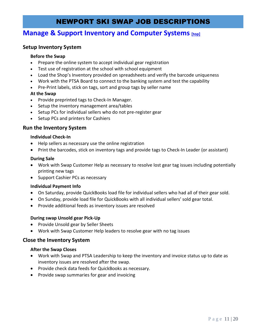### **Manage & Support Inventory and Computer Systems [top]**

### **Setup Inventory System**

#### **Before the Swap**

- Prepare the online system to accept individual gear registration
- Test use of registration at the school with school equipment
- Load the Shop's Inventory provided on spreadsheets and verify the barcode uniqueness
- Work with the PTSA Board to connect to the banking system and test the capability
- Pre-Print labels, stick on tags, sort and group tags by seller name

### **At the Swap**

- Provide preprinted tags to Check-In Manager.
- Setup the inventory management area/tables
- Setup PCs for individual sellers who do not pre-register gear
- Setup PCs and printers for Cashiers

### **Run the Inventory System**

#### **Individual Check-In**

- Help sellers as necessary use the online registration
- Print the barcodes, stick on inventory tags and provide tags to Check-In Leader (or assistant)

### **During Sale**

- Work with Swap Customer Help as necessary to resolve lost gear tag issues including potentially printing new tags
- Support Cashier PCs as necessary

### **Individual Payment Info**

- <span id="page-10-0"></span>On Saturday, provide QuickBooks load file for individual sellers who had all of their gear sold.
- On Sunday, provide load file for QuickBooks with all individual sellers' sold gear total.
- Provide additional feeds as inventory issues are resolved

### **During swap Unsold gear Pick-Up**

- Provide Unsold gear by Seller Sheets
- Work with Swap Customer Help leaders to resolve gear with no tag issues

### **Close the Inventory System**

#### **After the Swap Closes**

- Work with Swap and PTSA Leadership to keep the inventory and invoice status up to date as inventory issues are resolved after the swap.
- Provide check data feeds for QuickBooks as necessary.
- Provide swap summaries for gear and invoicing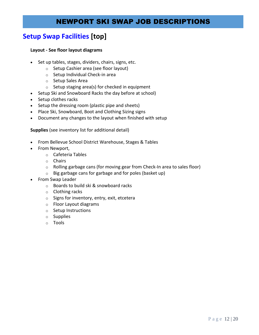### **Setup Swap Facilities [top]**

#### **Layout - See floor layout diagrams**

- Set up tables, stages, dividers, chairs, signs, etc.
	- o Setup Cashier area (see floor layout)
	- o Setup Individual Check-in area
	- o Setup Sales Area
	- $\circ$  Setup staging area(s) for checked in equipment
- Setup Ski and Snowboard Racks the day before at school)
- Setup clothes racks
- Setup the dressing room (plastic pipe and sheets)
- Place Ski, Snowboard, Boot and Clothing Sizing signs
- Document any changes to the layout when finished with setup

**Supplies** (see inventory list for additional detail)

- From Bellevue School District Warehouse, Stages & Tables
- From Newport,
	- o Cafeteria Tables
	- o Chairs
	- o Rolling garbage cans (for moving gear from Check-In area to sales floor)
	- $\circ$  Big garbage cans for garbage and for poles (basket up)
- <span id="page-11-0"></span> From Swap Leader
	- o Boards to build ski & snowboard racks
	- o Clothing racks
	- o Signs for inventory, entry, exit, etcetera
	- o Floor Layout diagrams
	- o Setup Instructions
	- o Supplies
	- o Tools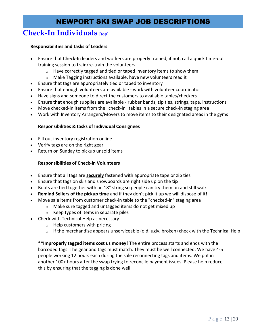### **Check-In Individuals** *[top]*

#### **Responsibilities and tasks of Leaders**

- Ensure that Check-In leaders and workers are properly trained, if not, call a quick time-out training session to train/re-train the volunteers
	- $\circ$  Have correctly tagged and tied or taped inventory items to show them
	- o Make Tagging instructions available, have new volunteers read it
- Ensure that tags are appropriately tied or taped to inventory
- Ensure that enough volunteers are available work with volunteer coordinator
- Have signs and someone to direct the customers to available tables/checkers
- Ensure that enough supplies are available rubber bands, zip ties, strings, tape, instructions
- Move checked-in items from the "check-in" tables in a secure check-in staging area
- Work with Inventory Arrangers/Movers to move items to their designated areas in the gyms

### **Responsibilities & tasks of Individual Consignees**

- Fill out inventory registration online
- Verify tags are on the right gear
- Return on Sunday to pickup unsold items

### **Responsibilities of Check-in Volunteers**

- Ensure that all tags are **securely** fastened with appropriate tape or zip ties
- Ensure that tags on skis and snowboards are right side up on the **tip**
- Boots are tied together with an 18" string so people can try them on and still walk
- **Remind Sellers of the pickup time** and if they don't pick it up we will dispose of it!
- Move sale items from customer check-in table to the "checked-in" staging area
	- o Make sure tagged and untagged items do not get mixed up
	- o Keep types of items in separate piles
- Check with Technical Help as necessary
	- o Help customers with pricing
	- $\circ$  If the merchandise appears unserviceable (old, ugly, broken) check with the Technical Help

<span id="page-12-0"></span>**\*\*Improperly tagged items cost us money!** The entire process starts and ends with the barcoded tags. The gear and tags must match. They must be well connected. We have 4-5 people working 12 hours each during the sale reconnecting tags and items. We put in another 100+ hours after the swap trying to reconcile payment issues. Please help reduce this by ensuring that the tagging is done well.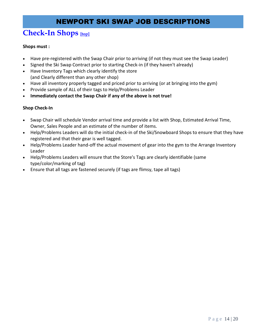## **Check-In Shops [top]**

### **Shops must :**

- Have pre-registered with the Swap Chair prior to arriving (if not they must see the Swap Leader)
- Signed the Ski Swap Contract prior to starting Check-in (if they haven't already)
- Have Inventory Tags which clearly identify the store (and Clearly different than any other shop)
- Have all inventory properly tagged and priced prior to arriving (or at bringing into the gym)
- Provide sample of ALL of their tags to Help/Problems Leader
- **Immediately contact the Swap Chair if any of the above is not true!**

### **Shop Check-In**

- Swap Chair will schedule Vendor arrival time and provide a list with Shop, Estimated Arrival Time, Owner, Sales People and an estimate of the number of items.
- Help/Problems Leaders will do the initial check-in of the Ski/Snowboard Shops to ensure that they have registered and that their gear is well tagged.
- Help/Problems Leader hand-off the actual movement of gear into the gym to the Arrange Inventory Leader
- Help/Problems Leaders will ensure that the Store's Tags are clearly identifiable (same type/color/marking of tag)
- <span id="page-13-0"></span>Ensure that all tags are fastened securely (if tags are flimsy, tape all tags)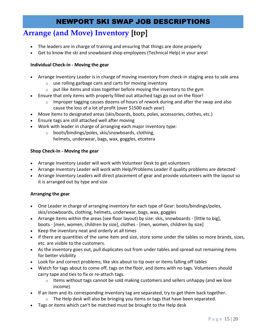# **Arrange (and Move) Inventory [top]**

- The leaders are in charge of training and ensuring that things are done properly
- Get to know the ski and snowboard shop employees (Technical Help) in your area!

### **Individual Check-in - Moving the gear**

- Arrange Inventory Leader is in charge of moving inventory from check-in staging area to sale area
	- $\circ$  use rolling garbage cans and carts for moving inventory
	- $\circ$  put like items and sizes together before moving the inventory to the gym
- Ensure that only items with properly filled out attached tags go out on the floor!
	- $\circ$  Improper tagging causes dozens of hours of rework during and after the swap and also cause the loss of a lot of profit (over \$1500 each year)
- Move items to designated areas (skis/boards, boots, poles, accessories, clothes, etc.)
- Ensure tags are still attached well after moving
- Work with leader in charge of arranging each major inventory type:
	- o boots/bindings/poles, skis/snowboards, clothing, helmets, underwear, bags, wax, goggles, etcetera

### **Shop Check-In - Moving the gear**

- Arrange Inventory Leader will work with Volunteer Desk to get volunteers
- Arrange Inventory Leader will work with Help/Problems Leader if quality problems are detected
- Arrange Inventory Leaders will direct placement of gear and provide volunteers with the layout so it is arranged out by type and size

### **Arranging the gear**

- One Leader in charge of arranging inventory for each type of Gear: boots/bindings/poles, skis/snowboards, clothing, helmets, underwear, bags, wax, goggles
- Arrange items within the areas (see floor layout) by size: skis, snowboards [little to big], boots - [men, women, children by size], clothes - [men, women, children by size]
- Keep the inventory neat and orderly at all times
- If there are quantities of the same item and size, store some under the tables so more brands, sizes, etc. are visible to the customers.
- As the inventory goes out, pull duplicates out from under tables and spread out remaining items for better visibility
- Look for and correct problems; like skis about to tip over or items falling off tables
- Watch for tags about to come off, tags on the floor, and items with no tags. Volunteers should carry tape and ties to fix or re-attach tags.
	- $\circ$  Items without tags cannot be sold making customers and sellers unhappy (and we lose income)
- If an item and its corresponding inventory tag are separated, try to get them back together.
	- $\circ$  The Help desk will also be bringing you items or tags that have been separated.
- Tags or items which can't be matched must be brought to the Help desk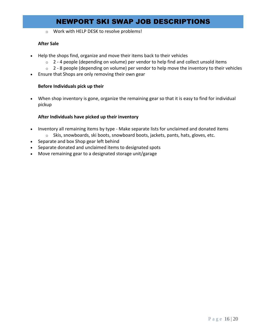o Work with HELP DESK to resolve problems!

#### **After Sale**

- Help the shops find, organize and move their items back to their vehicles
	- o 2 4 people (depending on volume) per vendor to help find and collect unsold items
	- $\circ$  2 8 people (depending on volume) per vendor to help move the inventory to their vehicles
- Ensure that Shops are only removing their own gear

#### **Before Individuals pick up their**

 When shop inventory is gone, organize the remaining gear so that it is easy to find for individual pickup

#### **After Individuals have picked up their inventory**

- Inventory all remaining items by type Make separate lists for unclaimed and donated items
	- o Skis, snowboards, ski boots, snowboard boots, jackets, pants, hats, gloves, etc.
- Separate and box Shop gear left behind
- Separate donated and unclaimed items to designated spots
- <span id="page-15-0"></span>Move remaining gear to a designated storage unit/garage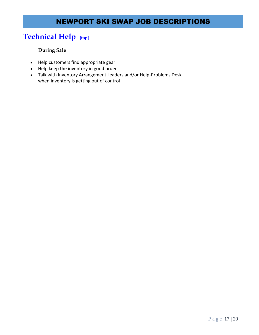# **Technical Help [top]**

### **During Sale**

- Help customers find appropriate gear
- Help keep the inventory in good order
- <span id="page-16-0"></span> Talk with Inventory Arrangement Leaders and/or Help-Problems Desk when inventory is getting out of control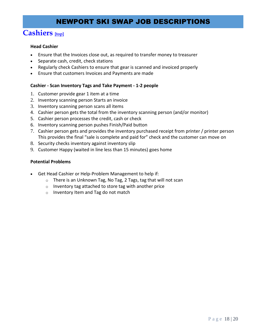# **Cashiers [top]**

### **Head Cashier**

- Ensure that the Invoices close out, as required to transfer money to treasurer
- Separate cash, credit, check stations
- Regularly check Cashiers to ensure that gear is scanned and invoiced properly
- Ensure that customers Invoices and Payments are made

#### **Cashier - Scan Inventory Tags and Take Payment - 1-2 people**

- 1. Customer provide gear 1 item at a time
- 2. Inventory scanning person Starts an invoice
- 3. Inventory scanning person scans all items
- 4. Cashier person gets the total from the inventory scanning person (and/or monitor)
- 5. Cashier person processes the credit, cash or check
- 6. Inventory scanning person pushes Finish/Paid button
- 7. Cashier person gets and provides the inventory purchased receipt from printer / printer person This provides the final "sale is complete and paid for" check and the customer can move on
- 8. Security checks inventory against inventory slip
- 9. Customer Happy (waited in line less than 15 minutes) goes home

#### **Potential Problems**

- <span id="page-17-0"></span> Get Head Cashier or Help-Problem Management to help if:
	- $\circ$  There is an Unknown Tag, No Tag, 2 Tags, tag that will not scan
	- $\circ$  Inventory tag attached to store tag with another price
	- o Inventory Item and Tag do not match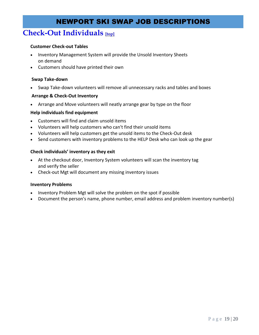### **Check-Out Individuals** [top]

### **Customer Check-out Tables**

- Inventory Management System will provide the Unsold Inventory Sheets on demand
- Customers should have printed their own

#### **Swap Take-down**

Swap Take-down volunteers will remove all unnecessary racks and tables and boxes

#### **Arrange & Check-Out Inventory**

Arrange and Move volunteers will neatly arrange gear by type on the floor

#### **Help individuals find equipment**

- Customers will find and claim unsold items
- Volunteers will help customers who can't find their unsold items
- Volunteers will help customers get the unsold items to the Check-Out desk
- Send customers with inventory problems to the HELP Desk who can look up the gear

#### **Check individuals' inventory as they exit**

- At the checkout door, Inventory System volunteers will scan the inventory tag and verify the seller
- Check-out Mgt will document any missing inventory issues

#### **Inventory Problems**

- Inventory Problem Mgt will solve the problem on the spot if possible
- <span id="page-18-0"></span>Document the person's name, phone number, email address and problem inventory number(s)